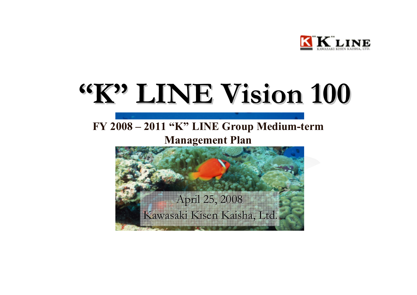

# **"K" LINE Vision LINE Vision 100**

### **FY 2008 – 2011 "K" LINE Group Medium-term Management Plan**

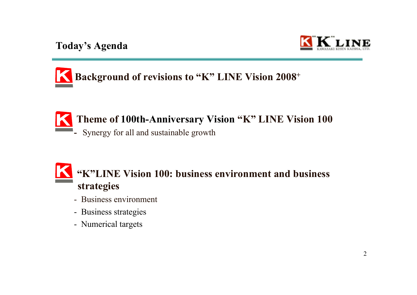



### **Theme of 100th-Anniversary Vision "K" LINE Vision 100**

**-** Synergy for all and sustainable growth

### **"K"LINE Vision 100: business environment and business strategies**

- Business environment
- Business strategies
- Numerical targets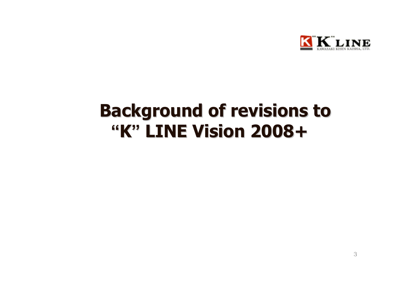

## **Background of revisions to Background of revisions to "K" LINE Vision 2008+ LINE Vision 2008+**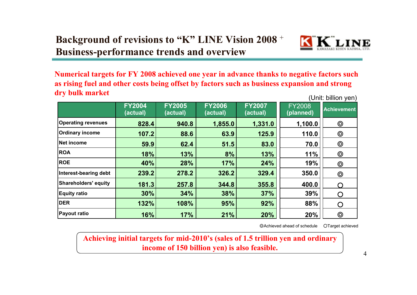

**Numerical targets for FY 2008 achieved one year in advance thanks to negative factors such as rising fuel and other costs being offset by factors such as business expansion and strong dry bulk market** (Unit: billion yen)

|                           | <b>FY2004</b><br>(actual) | <b>FY2005</b><br>(actual) | <b>FY2006</b><br>(actual) | <b>FY2007</b><br>(actual) | <b>FY2008</b><br>(planned) | <b>Achievement</b> |
|---------------------------|---------------------------|---------------------------|---------------------------|---------------------------|----------------------------|--------------------|
| <b>Operating revenues</b> | 828.4                     | 940.8                     | 1,855.0                   | 1,331.0                   | 1,100.0                    | $\circledcirc$     |
| <b>Ordinary income</b>    | 107.2                     | 88.6                      | 63.9                      | 125.9                     | 110.0                      | $\circledcirc$     |
| Net income                | 59.9                      | 62.4                      | 51.5                      | 83.0                      | 70.0                       | $\circledcirc$     |
| <b>ROA</b>                | 18%                       | 13%                       | 8%                        | 13%                       | 11%                        | $\circledcirc$     |
| <b>ROE</b>                | 40%                       | 28%                       | 17%                       | 24%                       | 19%                        | $\circledcirc$     |
| Interest-bearing debt     | 239.2                     | 278.2                     | 326.2                     | 329.4                     | 350.0                      | $\circledcirc$     |
| Shareholders' equity      | 181.3                     | 257.8                     | 344.8                     | 355.8                     | 400.0                      |                    |
| <b>Equity ratio</b>       | 30%                       | 34%                       | 38%                       | 37%                       | 39%                        | O                  |
| <b>DER</b>                | 132%                      | 108%                      | 95%                       | 92%                       | 88%                        | O                  |
| <b>Payout ratio</b>       | 16%                       | 17%                       | 21%                       | 20%                       | 20%                        | $\circledcirc$     |

◎Achieved ahead of schedule ○Target achieved

**Achieving initial targets for mid-2010's (sales of 1.5 trillion yen and ordinary income of 150 billion yen) is also feasible.**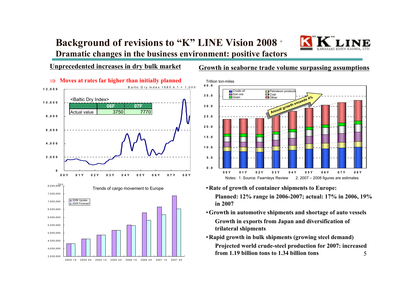### **Background of revisions to "K" LINE Vision 2008**  +

**Dramatic changes in the business environment: positive factors** 

#### **Unprecedented increases in dry bulk market**



#### **Growth in seaborne trade volume surpassing assumptions**



- •**Rate of growth of container shipments to Europe: Planned: 12% range in 2006-2007; actual: 17% in 2006, 19% in 2007**
- •**Growth in automotive shipments and shortage of auto vessels Growth in exports from Japan and diversification of trilateral shipments**
- 5•**Rapid growth in bulk shipments (growing steel demand) Projected world crude-steel production for 2007: increased from 1.19 billion tons to 1.34 billion tons**

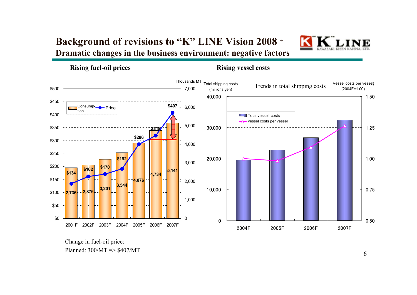### **Background of revisions to "K" LINE Vision 2008** <sup>+</sup> **Dramatic changes in the business environment: negative factors**



**Rising fuel-oil prices Rising vessel costs**



Change in fuel-oil price: Planned: 300/MT => \$407/MT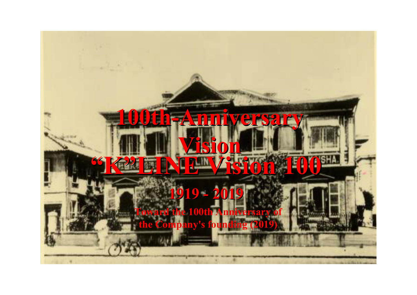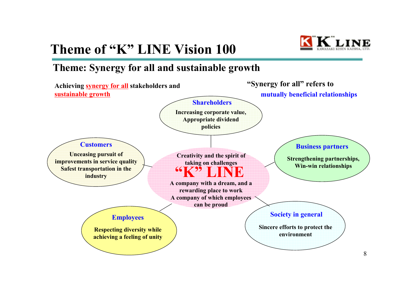## **Theme of "K" LINE Vision 100**



### **Theme: Synergy for all and sustainable growth**

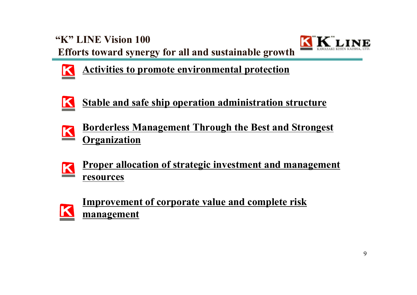**"K" LINE Vision 100Efforts toward synergy for all and sustainable growth**





**Activities to promote environmental protection**



- **Borderless Management Through the Best and Strongest Organization**
- **Proper allocation of strategic investment and management resources**



**Improvement of corporate value and complete risk management**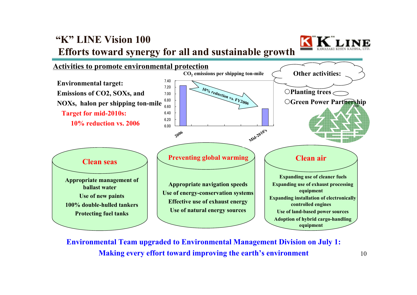### **"K" LINE Vision 100Efforts toward synergy for all and sustainable growth**





**Environmental Team upgraded to Environmental Management Division on July 1: Making every effort toward improving the earth's environment**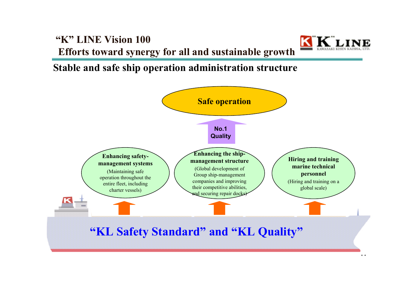



**Stable and safe ship operation administration structure**

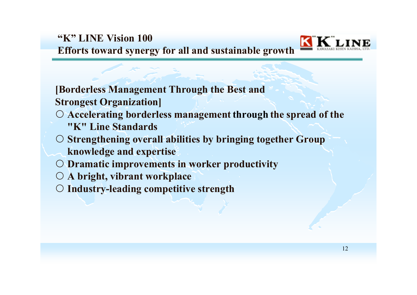

**[Borderless Management Through the Best and Strongest Organization]**

- { **Accelerating borderless management through the spread of the "K" Line Standards**
- { **Strengthening overall abilities by bringing together Group knowledge and expertise**
- { **Dramatic improvements in worker productivity**
- { **A bright, vibrant workplace**
- { **Industry-leading competitive strength**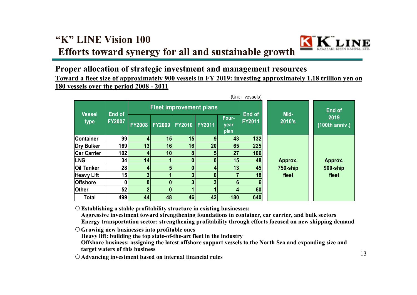### **"K" LINE Vision 100Efforts toward synergy for all and sustainable growth**



#### **Proper allocation of strategic investment and management resources Toward a fleet size of approximately 900 vessels in FY 2019: investing approximately 1.18 trillion yen on 180 vessels over the period 2008 - 2011**

|                    | (Unit: vessels) |                                |               |               |               |                       |               |          |                          |
|--------------------|-----------------|--------------------------------|---------------|---------------|---------------|-----------------------|---------------|----------|--------------------------|
| <b>Vsssel</b>      | End of          | <b>Fleet improvement plans</b> |               |               |               |                       | End of        | Mid-     | <b>End of</b>            |
| type               | <b>FY2007</b>   | <b>FY2008</b>                  | <b>FY2009</b> | <b>FY2010</b> | <b>FY2011</b> | Four-<br>year<br>plan | <b>FY2011</b> | 2010's   | 2019<br>$(100th$ anniv.) |
| <b>Container</b>   | 99              | 4                              | 15            | 15            | 9             | 43                    | 132           |          |                          |
| Dry Bulker         | 169             | 13                             | 16            | 16            | 20            | 65                    | 225           |          |                          |
| <b>Car Carrier</b> | 102             | 4                              | 10            | 8             | 5             | 27                    | 106           |          |                          |
| <b>LNG</b>         | 34              | 14                             |               | 0             |               | 15                    | 48            | Approx.  | Approx.                  |
| <b>Oil Tanker</b>  | 28              | $\mathbf{4}$                   |               | 0             | 4             | 13                    | 45            | 750-ship | 900-ship                 |
| <b>Heavy Lift</b>  | 15              |                                |               | 3             |               |                       | 18            | fleet    | fleet                    |
| <b>Offshore</b>    | n               | $\mathbf{0}$                   |               | 3             | 3             | 6                     |               |          |                          |
| <b>Other</b>       | 52              |                                |               |               |               | 4                     | 60            |          |                          |
| <b>Total</b>       | 499             | 44                             | 48            | 46            | 42            | 180                   | 640           |          |                          |

{**Establishing a stable profitability structure in existing businesses:**

**Aggressive investment toward strengthening foundations in container, car carrier, and bulk sectors**

**Energy transportation sector: strengthening profitability through efforts focused on new shipping demand**

{**Growing new businesses into profitable ones**

**Heavy lift: building the top state-of-the-art fleet in the industry**

**Offshore business: assigning the latest offshore support vessels to the North Sea and expanding size and target waters of this business**

{**Advancing investment based on internal financial rules**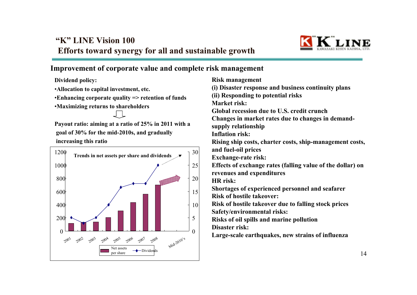

#### **Improvement of corporate value and complete risk management**

**Dividend policy:**

•**Allocation to capital investment, etc.**

•**Enhancing corporate quality => retention of funds**

•**Maximizing returns to shareholders**

**Payout ratio: aiming at a ratio of 25% in 2011 with a goal of 30% for the mid-2010s, and gradually increasing this ratio**



**Risk management (i) Disaster response and business continuity plans (ii) Responding to potential risks Market risk: Global recession due to U.S. credit crunchChanges in market rates due to changes in demandsupply relationship Inflation risk: Rising ship costs, charter costs, ship-management costs, and fuel-oil prices Exchange-rate risk: Effects of exchange rates (falling value of the dollar) on revenues and expenditures HR risk: Shortages of experienced personnel and seafarer Risk of hostile takeover: Risk of hostile takeover due to falling stock prices Safety/environmental risks: Risks of oil spills and marine pollution Disaster risk: Large-scale earthquakes, new strains of influenza**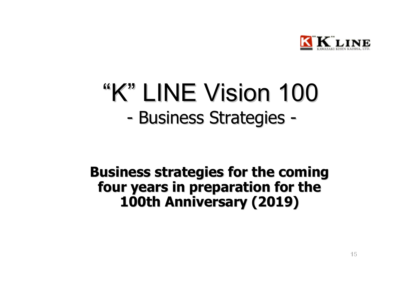

## -- Business Strategies -"K" LINE Vision LINE Vision 100

### **Business strategies for the coming Business strategies for the coming**  four years in preparation for the **100th Anniversary (2019) 100th Anniversary (2019)**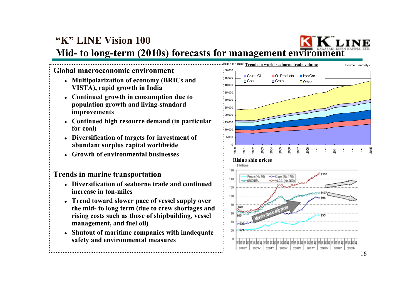### **"K" LINE Vision 100Mid- to long-term (2010s) forecasts for management environment**

#### **Global macroeconomic environment**

- z **Multipolarization of economy (BRICs and VISTA), rapid growth in India**
- z **Continued growth in consumption due to population growth and living-standard improvements**
- Continued high resource demand (in particular **for coal)**
- **Diversification of targets for investment of abundant surplus capital worldwide**
- o **Growth of environmental businesses**

#### **Trends in marine transportation**

- Diversification of seaborne trade and continued **increase in ton-miles**
- Trend toward slower pace of vessel supply over **the mid- to long term (due to crew shortages and rising costs such as those of shipbuilding, vessel management, and fuel oil)**
- **Shutout of maritime companies with inadequate safety and environmental measures**

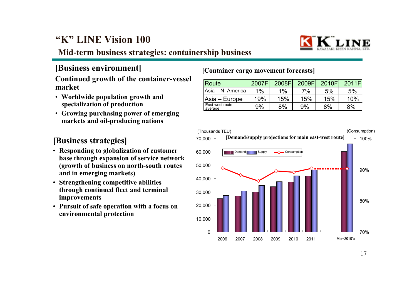

#### **Mid-term business strategies: containership business**

#### **Continued growth of the container-vessel market**

- **Worldwide population growth and specialization of production**
- **Growing purchasing power of emerging markets and oil-producing nations**

#### **[Business strategies]**

- **Responding to globalization of customer base through expansion of service network (growth of business on north-south routes and in emerging markets)**
- **Strengthening competitive abilities through continued fleet and terminal improvements**
- **Pursuit of safe operation with a focus on environmental protection**

#### **[Container cargo movement forecasts] [Business environment]**

| Route                      | 2007F | 2008F | 2009F | 2010F | 2011F |
|----------------------------|-------|-------|-------|-------|-------|
| IAsia – N. Americal        | 1%    | 1%    | 7%    | 5%    | 5%    |
| Asia – Europe              | 19%   | 15%   | 15%   | 15%   | 10%   |
| East-west route<br>average | 9%    | 8%    | 9%    | 8%    | 8%    |

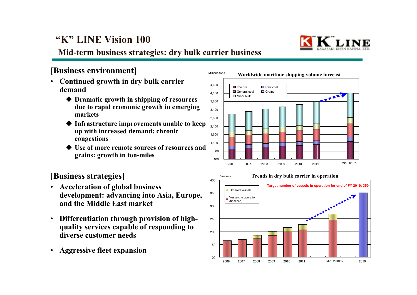

### **Mid-term business strategies: dry bulk carrier business**

#### **[Business environment]**

- • **Continued growth in dry bulk carrier demand**
	- **Dramatic growth in shipping of resources due to rapid economic growth in emerging markets**
	- ♦ **Infrastructure improvements unable to keep up with increased demand: chronic congestions**
	- **Use of more remote sources of resources and grains: growth in ton-miles**

#### **[Business strategies]**

- • **Acceleration of global business development: advancing into Asia, Europe, and the Middle East market**
- $\bullet$  **Differentiation through provision of highquality services capable of responding to diverse customer needs**
- •**Aggressive fleet expansion**



#### **Trends in dry bulk carrier in operation** Vessels400**Target number of vessels in operation for end of FY 2019: 350 Ordered vessels** 350Vessels in operation (finalized) **ARABASE** 3002502001501002006

2007 2008 2009 2010 2011 Mid-2010'<sup>s</sup> 2019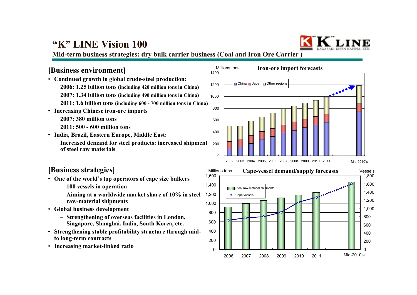

**Mid-term business strategies: dry bulk carrier business (Coal and Iron Ore Carrier )**

#### **[Business environment]**

- **Continued growth in global crude-steel production: 2006: 1.25 billion tons (including 420 million tons in China) 2007: 1.34 billion tons (including 490 million tons in China) 2011: 1.6 billion tons (including 600 - 700 million tons in China)**
- **Increasing Chinese iron-ore imports 2007: 380 million tons 2011: 500 - 600 million tons**
- **India, Brazil, Eastern Europe, Middle East: Increased demand for steel products: increased shipment of steel raw materials**

#### **[Business strategies]**

- **One of the world's top operators of cape size bulkers**
	- **100 vessels in operation**
	- **Aiming at a worldwide market share of 10% in steel raw-material shipments**
- **Global business development**
	- **Strengthening of overseas facilities in London, Singapore, Shanghai, India, South Korea, etc.**
- • **Strengthening stable profitability structure through midto long-term contracts**
- **Increasing market-linked ratio**

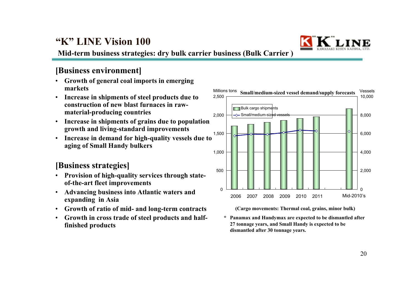

**Mid-term business strategies: dry bulk carrier business (Bulk Carrier )**

#### **[Business environment]**

- • **Growth of general coal imports in emerging markets**
- • **Increase in shipments of steel products due to construction of new blast furnaces in rawmaterial-producing countries**
- • **Increase in shipments of grains due to population growth and living-standard improvements**
- • **Increase in demand for high-quality vessels due to aging of Small Handy bulkers**

#### **[Business strategies]**

- • **Provision of high-quality services through stateof-the-art fleet improvements**
- • **Advancing business into Atlantic waters and expanding in Asia**
- •**Growth of ratio of mid- and long-term contracts**
- $\bullet$  **Growth in cross trade of steel products and halffinished products**



**(Cargo movements: Thermal coal, grains, minor bulk)**

**\* Panamax and Handymax are expected to be dismantled after 27 tonnage years, and Small Handy is expected to be dismantled after 30 tonnage years.**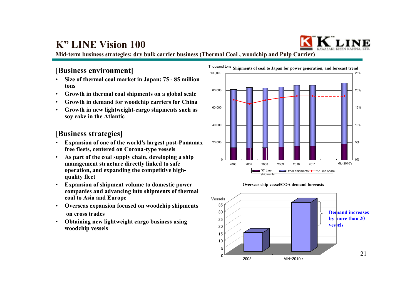

**Mid-term business strategies: dry bulk carrier business (Thermal Coal , woodchip and Pulp Carrier)**

#### **[Business environment]**

- • **Size of thermal coal market in Japan: 75 - 85 million tons**
- •**Growth in thermal coal shipments on a global scale**
- •**Growth in demand for woodchip carriers for China**
- • **Growth in new lightweight-cargo shipments such as soy cake in the Atlantic**

#### **[Business strategies]**

- • **Expansion of one of the world's largest post-Panamax free fleets, centered on Corona-type vessels**
- • **As part of the coal supply chain, developing a ship management structure directly linked to safe operation, and expanding the competitive highquality fleet**
- • **Expansion of shipment volume to domestic power companies and advancing into shipments of thermal coal to Asia and Europe**
- • **Overseas expansion focused on woodchip shipments on cross trades**
- • **Obtaining new lightweight cargo business using woodchip vessels**





Mid-2010's

 $\Omega$ 

2008

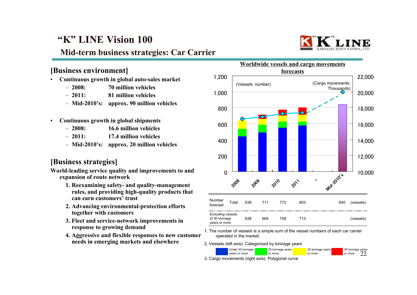### **Mid-term business strategies: Car Carrier**



#### **[Business environment]**

- • **Continuous growth in global auto-sales market**
	- $-2008$ : **2008: 70 million vehicles**
	- $-2011:$ **2011: 81 million vehicles**
	- **Mid-2010's: approx. 90 million vehicles**
- • **Continuous growth in global shipments**
	- $-2008$ **2008: 16.6 million vehicles**
	- $-2011:$ **2011: 17.4 million vehicles**
	- **Mid-2010's: approx. 20 million vehicles**

#### **[Business strategies]**

**World-leading service quality and improvements to and expansion of route network**

- **1. Reexamining safety- and quality-management rules, and providing high-quality products that can earn customers' trust**
- **2. Advancing environmental-protection efforts together with customers**
- **3. Fleet and service-network improvements in response to growing demand**
- **4. Aggressive and flexible responses to new customer needs in emerging markets and elsewhere**



1. The number of vessels is a simple sum of the vessel numbers of each car carrier operated in the market.

2. Vessels (left axis): Categorized by tonnage years



3. Cargo movements (right axis): Polygonal curve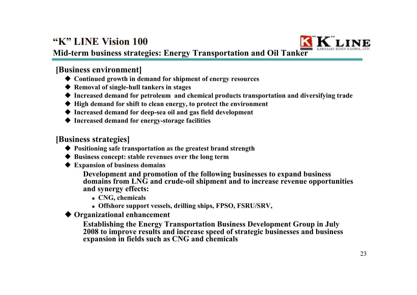

**Mid-term business strategies: Energy Transportation and Oil Tanker** 

#### **[Business environment]**

- **Continued growth in demand for shipment of energy resources**
- **Removal of single-hull tankers in stages**
- **Increased demand for petroleum and chemical products transportation and diversifying trade**
- **High demand for shift to clean energy, to protect the environment**
- **Increased demand for deep-sea oil and gas field development**
- **Increased demand for energy-storage facilities**

#### **[Business strategies]**

- **Positioning safe transportation as the greatest brand strength**
- **Business concept: stable revenues over the long term**
- **Expansion of business domains**

**Development and promotion of the following businesses to expand business domains from LNG and crude-oil shipment and to increase revenue opportunities and synergy effects:**

- **CNG, chemicals**
- **Offshore support vessels, drilling ships, FPSO, FSRU/SRV,**

**Organizational enhancement**

**Establishing the Energy Transportation Business Development Group in July 2008 to improve results and increase speed of strategic businesses and business expansion in fields such as CNG and chemicals**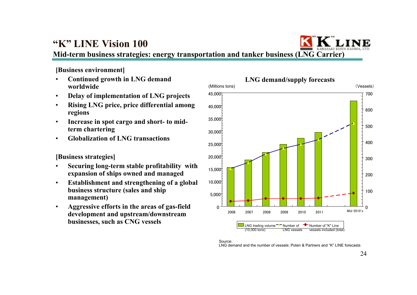**Mid-term business strategies: energy transportation and tanker business (LNG Carrier)**

**[Business environment]**

- • **Continued growth in LNG demand worldwide**
- •**Delay of implementation of LNG projects**
- • **Rising LNG price, price differential among regions**
- • **Increase in spot cargo and short- to midterm chartering**
- •**Globalization of LNG transactions**

#### **[Business strategies]**

- • **Securing long-term stable profitability with expansion of ships owned and managed**
- • **Establishment and strengthening of a global business structure (sales and ship management)**
- • **Aggressive efforts in the areas of gas-field development and upstream/downstream businesses, such as CNG vessels**



#### LNG demand and the number of vessels: Poten & Partners and "K" LINE forecasts

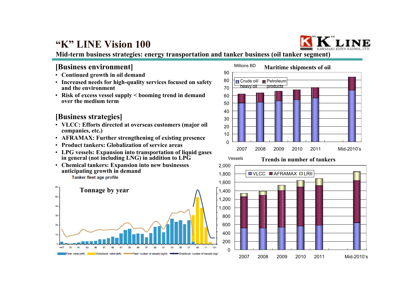

25 Mid-2010's

**Mid-term business strategies: energy transportation and tanker business (oil tanker segment)**

#### **[Business environment]**

- **Continued growth in oil demand**
- **Increased needs for high-quality services focused on safety and the environment**
- **Risk of excess vessel supply < booming trend in demand over the medium term**

#### **[Business strategies]**

- **VLCC: Efforts directed at overseas customers (major oil companies, etc.)**
- **AFRAMAX: Further strengthening of existing presence**
- **Product tankers: Globalization of service areas**
- **LPG vessels: Expansion into transportation of liquid gases in general (not including LNG) in addition to LPG**
- **Chemical tankers: Expansion into new businesses anticipating growth in demand**

Tanker fleet age profile





2007 2008 2009 2010 2011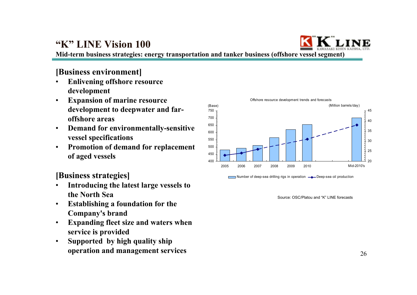

**Mid-term business strategies: energy transportation and tanker business (offshore vessel segment)**

#### **[Business environment]**

- • **Enlivening offshore resource development**
- • **Expansion of marine resource development to deepwater and faroffshore areas**
- • **Demand for environmentally-sensitive vessel specifications**
- • **Promotion of demand for replacement of aged vessels**

**[Business strategies]**

- • **Introducing the latest large vessels to the North Sea**
- • **Establishing a foundation for the Company's brand**
- • **Expanding fleet size and waters when service is provided**
- • **Supported by high quality ship operation and management services**



Source: OSC/Platou and "K" LINE forecasts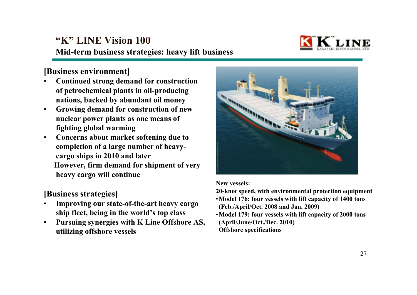

**[Business environment]**

- • **Continued strong demand for construction of petrochemical plants in oil-producing nations, backed by abundant oil money**
- • **Growing demand for construction of new nuclear power plants as one means of fighting global warming**
- • **Concerns about market softening due to completion of a large number of heavycargo ships in 2010 and later However, firm demand for shipment of very heavy cargo will continue**
- **[Business strategies]**
- • **Improving our state-of-the-art heavy cargo ship fleet, being in the world's top class**
- • **Pursuing synergies with K Line Offshore AS, utilizing offshore vessels**



**New vessels:**

**20-knot speed, with environmental protection equipment**

- •**Model 176: four vessels with lift capacity of 1400 tons (Feb./April/Oct. 2008 and Jan. 2009)**
- •**Model 179: four vessels with lift capacity of 2000 tons (April/June/Oct./Dec. 2010) Offshore specifications**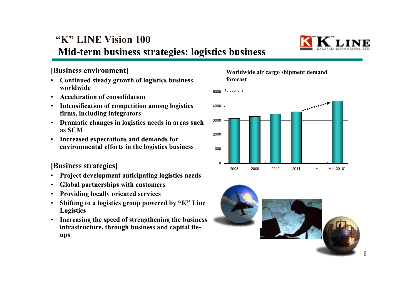

#### **[Business environment]**

- • **Continued steady growth of logistics business worldwide**
- •**Acceleration of consolidation**
- • **Intensification of competition among logistics firms, including integrators**
- • **Dramatic changes in logistics needs in areas such as SCM**
- • **Increased expectations and demands for environmental efforts in the logistics business**

#### **[Business strategies]**

- •**Project development anticipating logistics needs**
- •**Global partnerships with customers**
- •**Providing locally oriented services**
- • **Shifting to a logistics group powered by "K" Line Logistics**
- • **Increasing the speed of strengthening the business infrastructure, through business and capital tieups**

#### **Worldwide air cargo shipment demand forecast**



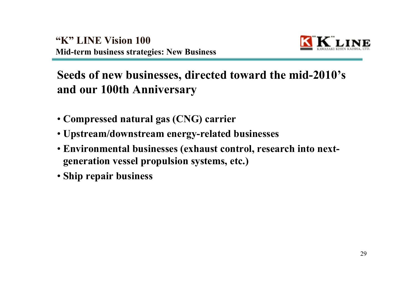

### **Seeds of new businesses, directed toward the mid-2010's and our 100th Anniversary**

- **Compressed natural gas (CNG) carrier**
- **Upstream/downstream energy-related businesses**
- **Environmental businesses (exhaust control, research into nextgeneration vessel propulsion systems, etc.)**
- **Ship repair business**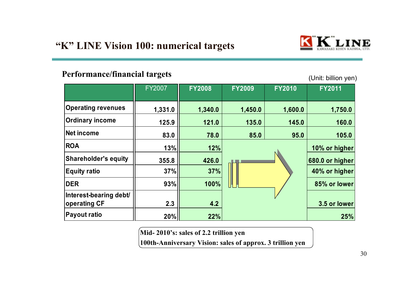

#### **Performance/financial targets**

(Unit: billion yen)

|                             | <b>FY2007</b> | <b>FY2008</b> | <b>FY2009</b> | <b>FY2010</b> | <b>FY2011</b> |
|-----------------------------|---------------|---------------|---------------|---------------|---------------|
| <b>Operating revenues</b>   | 1,331.0       | 1,340.0       | 1,450.0       | 1,600.0       | 1,750.0       |
| <b>Ordinary income</b>      | 125.9         | 121.0         | 135.0         | 145.0         | 160.0         |
| Net income                  | 83.0          | 78.0          | 85.0          | 95.0          | 105.0         |
| <b>ROA</b>                  | 13%           | 12%           |               |               | 10% or higher |
| <b>Shareholder's equity</b> | 355.8         | 426.0         |               |               |               |
| <b>Equity ratio</b>         | 37%           | 37%           |               |               | 40% or higher |
| <b>DER</b>                  | 93%           | 100%          |               |               | 85% or lower  |
| Interest-bearing debt/      |               |               |               |               |               |
| operating CF                | 2.3           | 4.2           |               |               | 3.5 or lower  |
| <b>Payout ratio</b>         | 20%           | 22%           |               |               | 25%           |

**Mid- 2010's: sales of 2.2 trillion yen**

**100th-Anniversary Vision: sales of approx. 3 trillion yen**